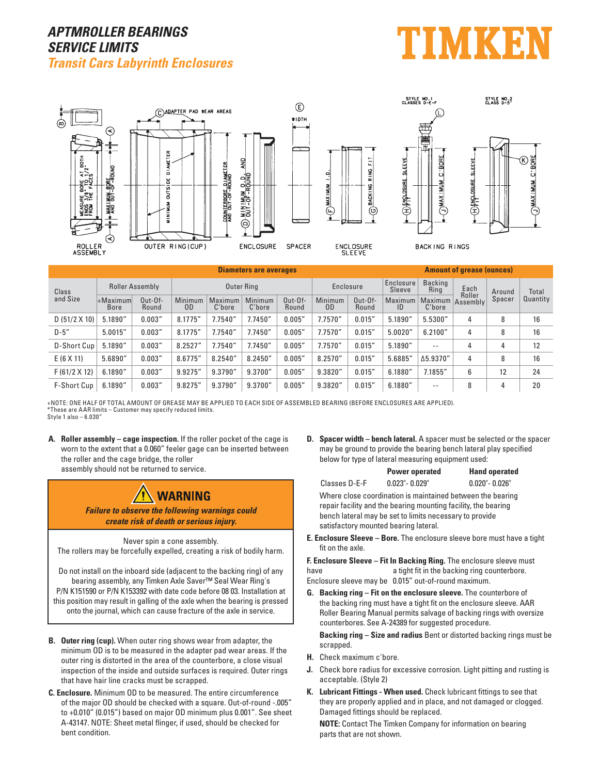## **APTMROLLER BEARINGS SERVICE LIMITS Transit Cars Labyrinth Enclosures**





| <b>Diameters are averages</b> |                            |                    |                   |                   |                          | <b>Amount of grease (ounces)</b> |               |                     |                        |                   |          |        |          |
|-------------------------------|----------------------------|--------------------|-------------------|-------------------|--------------------------|----------------------------------|---------------|---------------------|------------------------|-------------------|----------|--------|----------|
| Class<br>and Size             | Roller Assembly            |                    | <b>Outer Ring</b> |                   |                          | Enclosure                        |               | Enclosure<br>Sleeve | <b>Backing</b><br>Ring | Each<br>Roller    | Around   | Total  |          |
|                               | $+$ Maximum<br><b>Bore</b> | $Out-Of-$<br>Round | Minimum<br>0D     | Maximum<br>C'bore | <b>Minimum</b><br>C'bore | $0$ ut- $0$ f-<br>Round          | Minimum<br>0D | $Out-Of-$<br>Round  | Maximum<br>ID          | Maximum<br>C'bore | Assembly | Spacer | Quantity |
| D(51/2 X 10)                  | 5.1890"                    | 0.003''            | 8.1775"           | 7.7540"           | 7.7450"                  | 0.005"                           | 7.7570''      | 0.015''             | 5.1890"                | 5.5300"           | 4        | 8      | 16       |
| $D-5"$                        | 5.0015''                   | 0.003''            | 8.1775"           | 7.7540"           | 7.7450"                  | 0.005"                           | 7.7570"       | 0.015''             | 5.0020"                | 6.2100"           | 4        | 8      | 16       |
| D-Short Cup                   | 5.1890"                    | 0.003''            | 8.2527"           | 7.7540"           | 7.7450"                  | 0.005"                           | 7.7570"       | 0.015''             | 5.1890"                | $- -$             | 4        | 4      | 12       |
| E(6 X 11)                     | 5.6890''                   | 0.003''            | 8.6775"           | 8.2540''          | 8.2450''                 | 0.005"                           | 8.2570"       | 0.015''             | 5.6885"                | $\Delta$ 5.9370"  | 4        | 8      | 16       |
| F(61/2 X 12)                  | 6.1890''                   | 0.003''            | 9.9275"           | 9.3790"           | 9.3700"                  | 0.005"                           | 9.3820"       | 0.015''             | 6.1880"                | 7.1855"           | 6        | 12     | 24       |
| F-Short Cup                   | 6.1890''                   | 0.003''            | 9.8275"           | 9.3790"           | 9.3700''                 | 0.005''                          | 9.3820"       | 0.015''             | 6.1880''               | $ -$              | 8        | 4      | 20       |

+NOTE: ONE HALF OF TOTAL AMOUNT OF GREASE MAY BE APPLIED TO EACH SIDE OF ASSEMBLED BEARING (BEFORE ENCLOSURES ARE APPLIED). \*These are AAR limits – Customer may specify reduced limits. Style 1 also – 6.030"

**A. Roller assembly – cage inspection.** If the roller pocket of the cage is worn to the extent that a 0.060" feeler gage can be inserted between the roller and the cage bridge, the roller

assembly should not be returned to service.



**Failure to observe the following warnings could create risk of death or serious injury.**

## Never spin a cone assembly.

The rollers may be forcefully expelled, creating a risk of bodily harm.

Do not install on the inboard side (adjacent to the backing ring) of any bearing assembly, any Timken Axle Saver™ Seal Wear Ring's P/N K151590 or P/N K153392 with date code before 08 03. Installation at this position may result in galling of the axle when the bearing is pressed onto the journal, which can cause fracture of the axle in service.

- **B. Outer ring (cup).** When outer ring shows wear from adapter, the minimum OD is to be measured in the adapter pad wear areas. If the outer ring is distorted in the area of the counterbore, a close visual inspection of the inside and outside surfaces is required. Outer rings that have hair line cracks must be scrapped.
- **C. Enclosure.** Minimum OD to be measured. The entire circumference of the major OD should be checked with a square. Out-of-round -.005" to +0.010" (0.015") based on major OD minimum plus 0.001". See sheet A-43147. NOTE: Sheet metal flinger, if used, should be checked for bent condition.

**D.** Spacer width – bench lateral. A spacer must be selected or the spacer may be ground to provide the bearing bench lateral play specified below for type of lateral measuring equipment used:

|                                                                                                                                                                                         | <b>Power operated</b> | <b>Hand operated</b> |  |  |  |  |
|-----------------------------------------------------------------------------------------------------------------------------------------------------------------------------------------|-----------------------|----------------------|--|--|--|--|
| Classes D-E-F                                                                                                                                                                           | $0.023" - 0.029"$     | $0.020" - 0.026"$    |  |  |  |  |
| Where close coordination is maintained between the bearing<br>repair facility and the bearing mounting facility, the bearing<br>bench lateral may be set to limits necessary to provide |                       |                      |  |  |  |  |
| satisfactory mounted bearing lateral.                                                                                                                                                   |                       |                      |  |  |  |  |

**E. Enclosure Sleeve – Bore.** The enclosure sleeve bore must have a tight fit on the axle.

**F. Enclosure Sleeve – Fit In Backing Ring.** The enclosure sleeve must have **a** tight fit in the backing ring counterbore. Enclosure sleeve may be 0.015" out-of-round maximum.

**G. Backing ring – Fit on the enclosure sleeve.** The counterbore of the backing ring must have a tight fit on the enclosure sleeve. AAR Roller Bearing Manual permits salvage of backing rings with oversize counterbores. See A-24389 for suggested procedure.

 **Backing ring – Size and radius** Bent or distorted backing rings must be scrapped.

- **H.** Check maximum c'bore.
- **J.** Check bore radius for excessive corrosion. Light pitting and rusting is acceptable. (Style 2)
- **K. Lubricant Fittings When used.** Check lubricant fittings to see that they are properly applied and in place, and not damaged or clogged. Damaged fittings should be replaced.

**NOTE:** Contact The Timken Company for information on bearing parts that are not shown.